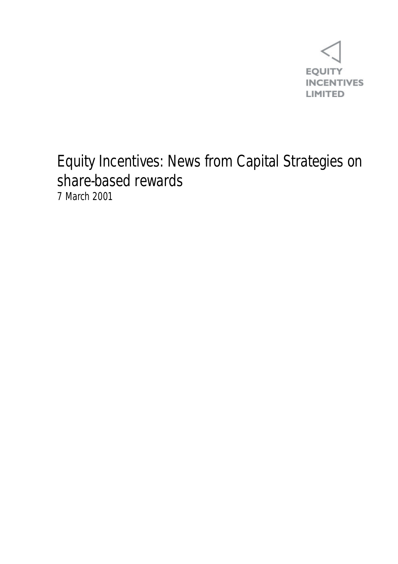

## Equity Incentives: News from Capital Strategies on share-based rewards 7 March 2001